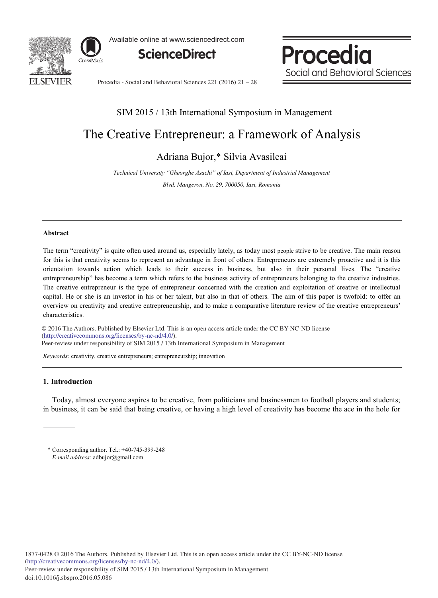

Available online at www.sciencedirect.com



Procedia Social and Behavioral Sciences

Procedia - Social and Behavioral Sciences 221 (2016) 21 – 28

# SIM 2015 / 13th International Symposium in Management

# The Creative Entrepreneur: a Framework of Analysis

Adriana Bujor,\* Silvia Avasilcai

*Technical University "Gheorghe Asachi" of Iasi, Department of Industrial Management Blvd. Mangeron, No. 29, 700050, Iasi, Romania*

#### **Abstract**

The term "creativity" is quite often used around us, especially lately, as today most people strive to be creative. The main reason for this is that creativity seems to represent an advantage in front of others. Entrepreneurs are extremely proactive and it is this orientation towards action which leads to their success in business, but also in their personal lives. The "creative entrepreneurship" has become a term which refers to the business activity of entrepreneurs belonging to the creative industries. The creative entrepreneur is the type of entrepreneur concerned with the creation and exploitation of creative or intellectual capital. He or she is an investor in his or her talent, but also in that of others. The aim of this paper is twofold: to offer an overview on creativity and creative entrepreneurship, and to make a comparative literature review of the creative entrepreneurs' characteristics.

© 2015 The Authors. Published by Elsevier Ltd. © 2016 The Authors. Published by Elsevier Ltd. This is an open access article under the CC BY-NC-ND license (internative commons.org/neenses/by/ie/hard-sov).<br>Peer-review under responsibility of SIM 2015 / 13th International Symposium in Management (http://creativecommons.org/licenses/by-nc-nd/4.0/).

*Keywords:* creativity, creative entrepreneurs; entrepreneurship; innovation

# **1. Introduction**

Today, almost everyone aspires to be creative, from politicians and businessmen to football players and students; in business, it can be said that being creative, or having a high level of creativity has become the ace in the hole for

<sup>\*</sup> Corresponding author. Tel.: +40-745-399-248 *E-mail address:* adbujor@gmail.com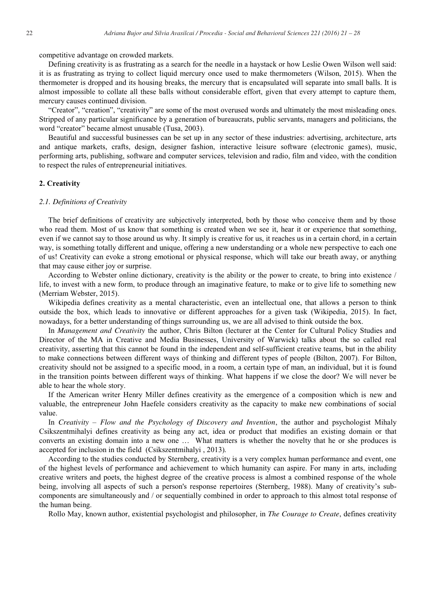competitive advantage on crowded markets.

Defining creativity is as frustrating as a search for the needle in a haystack or how Leslie Owen Wilson well said: it is as frustrating as trying to collect liquid mercury once used to make thermometers (Wilson, 2015). When the thermometer is dropped and its housing breaks, the mercury that is encapsulated will separate into small balls. It is almost impossible to collate all these balls without considerable effort, given that every attempt to capture them, mercury causes continued division.

"Creator", "creation", "creativity" are some of the most overused words and ultimately the most misleading ones. Stripped of any particular significance by a generation of bureaucrats, public servants, managers and politicians, the word "creator" became almost unusable (Tusa, 2003).

Beautiful and successful businesses can be set up in any sector of these industries: advertising, architecture, arts and antique markets, crafts, design, designer fashion, interactive leisure software (electronic games), music, performing arts, publishing, software and computer services, television and radio, film and video, with the condition to respect the rules of entrepreneurial initiatives.

## **2. Creativity**

#### *2.1. Definitions of Creativity*

The brief definitions of creativity are subjectively interpreted, both by those who conceive them and by those who read them. Most of us know that something is created when we see it, hear it or experience that something, even if we cannot say to those around us why. It simply is creative for us, it reaches us in a certain chord, in a certain way, is something totally different and unique, offering a new understanding or a whole new perspective to each one of us! Creativity can evoke a strong emotional or physical response, which will take our breath away, or anything that may cause either joy or surprise.

According to Webster online dictionary, creativity is the ability or the power to create, to bring into existence / life, to invest with a new form, to produce through an imaginative feature, to make or to give life to something new (Merriam Webster, 2015).

Wikipedia defines creativity as a mental characteristic, even an intellectual one, that allows a person to think outside the box, which leads to innovative or different approaches for a given task (Wikipedia, 2015). In fact, nowadays, for a better understanding of things surrounding us, we are all advised to think outside the box.

In *Management and Creativity* the author, Chris Bilton (lecturer at the Center for Cultural Policy Studies and Director of the MA in Creative and Media Businesses, University of Warwick) talks about the so called real creativity, asserting that this cannot be found in the independent and self-sufficient creative teams, but in the ability to make connections between different ways of thinking and different types of people (Bilton, 2007). For Bilton, creativity should not be assigned to a specific mood, in a room, a certain type of man, an individual, but it is found in the transition points between different ways of thinking. What happens if we close the door? We will never be able to hear the whole story.

If the American writer Henry Miller defines creativity as the emergence of a composition which is new and valuable, the entrepreneur John Haefele considers creativity as the capacity to make new combinations of social value.

In *Creativity – Flow and the Psychology of Discovery and Invention*, the author and psychologist Mihaly Csikszentmihalyi defines creativity as being any act, idea or product that modifies an existing domain or that converts an existing domain into a new one … What matters is whether the novelty that he or she produces is accepted for inclusion in the field (Csikszentmihalyi , 2013)*.* 

According to the studies conducted by Sternberg, creativity is a very complex human performance and event, one of the highest levels of performance and achievement to which humanity can aspire. For many in arts, including creative writers and poets, the highest degree of the creative process is almost a combined response of the whole being, involving all aspects of such a person's response repertoires (Sternberg, 1988). Many of creativity's subcomponents are simultaneously and / or sequentially combined in order to approach to this almost total response of the human being.

Rollo May, known author, existential psychologist and philosopher, in *The Courage to Create*, defines creativity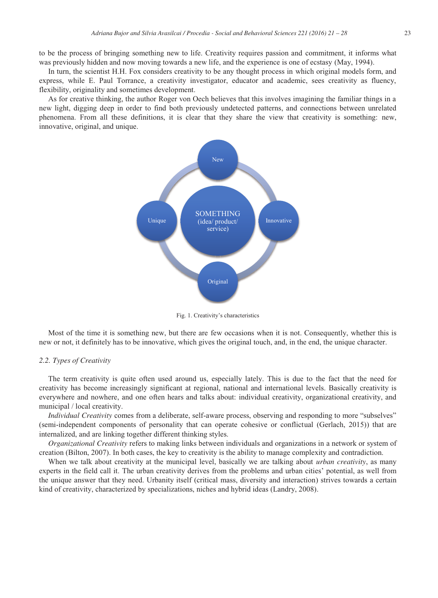to be the process of bringing something new to life. Creativity requires passion and commitment, it informs what was previously hidden and now moving towards a new life, and the experience is one of ecstasy (May, 1994).

In turn, the scientist H.H. Fox considers creativity to be any thought process in which original models form, and express, while E. Paul Torrance, a creativity investigator, educator and academic, sees creativity as fluency, flexibility, originality and sometimes development.

As for creative thinking, the author Roger von Oech believes that this involves imagining the familiar things in a new light, digging deep in order to find both previously undetected patterns, and connections between unrelated phenomena. From all these definitions, it is clear that they share the view that creativity is something: new, innovative, original, and unique.



Fig. 1. Creativity's characteristics

Most of the time it is something new, but there are few occasions when it is not. Consequently, whether this is new or not, it definitely has to be innovative, which gives the original touch, and, in the end, the unique character.

### *2.2. Types of Creativity*

The term creativity is quite often used around us, especially lately. This is due to the fact that the need for creativity has become increasingly significant at regional, national and international levels. Basically creativity is everywhere and nowhere, and one often hears and talks about: individual creativity, organizational creativity, and municipal / local creativity.

*Individual Creativity* comes from a deliberate, self-aware process, observing and responding to more "subselves" (semi-independent components of personality that can operate cohesive or conflictual (Gerlach, 2015)) that are internalized, and are linking together different thinking styles.

*Organizational Creativity* refers to making links between individuals and organizations in a network or system of creation (Bilton, 2007). In both cases, the key to creativity is the ability to manage complexity and contradiction.

When we talk about creativity at the municipal level, basically we are talking about *urban creativity*, as many experts in the field call it. The urban creativity derives from the problems and urban cities' potential, as well from the unique answer that they need. Urbanity itself (critical mass, diversity and interaction) strives towards a certain kind of creativity, characterized by specializations, niches and hybrid ideas (Landry, 2008).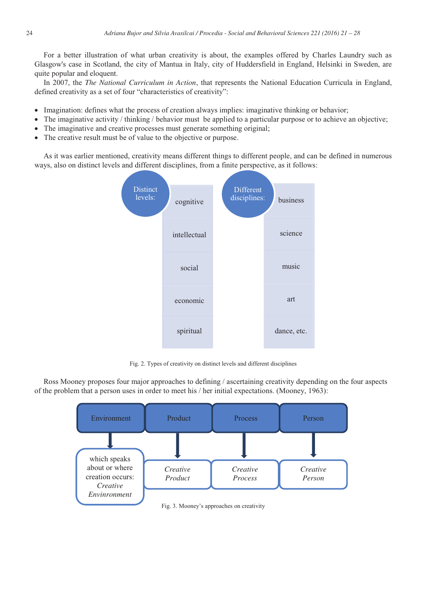For a better illustration of what urban creativity is about, the examples offered by Charles Laundry such as Glasgow's case in Scotland, the city of Mantua in Italy, city of Huddersfield in England, Helsinki in Sweden, are quite popular and eloquent.

In 2007, the *The National Curriculum in Action*, that represents the National Education Curricula in England, defined creativity as a set of four "characteristics of creativity":

- Imagination: defines what the process of creation always implies: imaginative thinking or behavior;
- The imaginative activity / thinking / behavior must be applied to a particular purpose or to achieve an objective;
- The imaginative and creative processes must generate something original;
- The creative result must be of value to the objective or purpose.

As it was earlier mentioned, creativity means different things to different people, and can be defined in numerous ways, also on distinct levels and different disciplines, from a finite perspective, as it follows:



Fig. 2. Types of creativity on distinct levels and different disciplines

Ross Mooney proposes four major approaches to defining / ascertaining creativity depending on the four aspects of the problem that a person uses in order to meet his / her initial expectations. (Mooney, 1963):

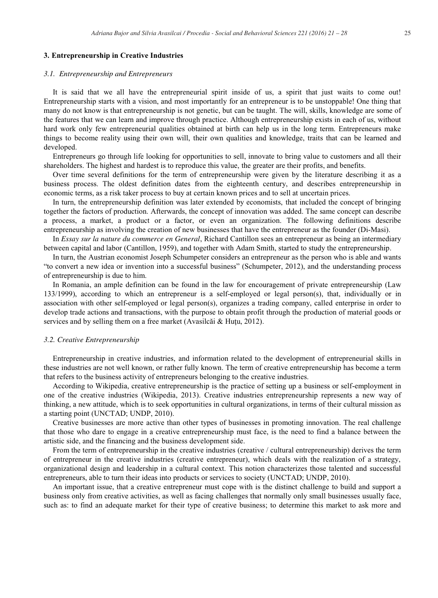#### **3. Entrepreneurship in Creative Industries**

#### *3.1. Entrepreneurship and Entrepreneurs*

It is said that we all have the entrepreneurial spirit inside of us, a spirit that just waits to come out! Entrepreneurship starts with a vision, and most importantly for an entrepreneur is to be unstoppable! One thing that many do not know is that entrepreneurship is not genetic, but can be taught. The will, skills, knowledge are some of the features that we can learn and improve through practice. Although entrepreneurship exists in each of us, without hard work only few entrepreneurial qualities obtained at birth can help us in the long term. Entrepreneurs make things to become reality using their own will, their own qualities and knowledge, traits that can be learned and developed.

Entrepreneurs go through life looking for opportunities to sell, innovate to bring value to customers and all their shareholders. The highest and hardest is to reproduce this value, the greater are their profits, and benefits.

Over time several definitions for the term of entrepreneurship were given by the literature describing it as a business process. The oldest definition dates from the eighteenth century, and describes entrepreneurship in economic terms, as a risk taker process to buy at certain known prices and to sell at uncertain prices.

In turn, the entrepreneurship definition was later extended by economists, that included the concept of bringing together the factors of production. Afterwards, the concept of innovation was added. The same concept can describe a process, a market, a product or a factor, or even an organization. The following definitions describe entrepreneurship as involving the creation of new businesses that have the entrepreneur as the founder (Di-Masi).

In *Essay sur la nature du commerce en General*, Richard Cantillon sees an entrepreneur as being an intermediary between capital and labor (Cantillon, 1959), and together with Adam Smith, started to study the entrepreneurship.

In turn, the Austrian economist Joseph Schumpeter considers an entrepreneur as the person who is able and wants "to convert a new idea or invention into a successful business" (Schumpeter, 2012), and the understanding process of entrepreneurship is due to him.

In Romania, an ample definition can be found in the law for encouragement of private entrepreneurship (Law 133/1999), according to which an entrepreneur is a self-employed or legal person(s), that, individually or in association with other self-employed or legal person(s), organizes a trading company, called enterprise in order to develop trade actions and transactions, with the purpose to obtain profit through the production of material goods or services and by selling them on a free market (Avasilcăi & Huțu, 2012).

#### *3.2. Creative Entrepreneurship*

Entrepreneurship in creative industries, and information related to the development of entrepreneurial skills in these industries are not well known, or rather fully known. The term of creative entrepreneurship has become a term that refers to the business activity of entrepreneurs belonging to the creative industries.

According to Wikipedia, creative entrepreneurship is the practice of setting up a business or self-employment in one of the creative industries (Wikipedia, 2013). Creative industries entrepreneurship represents a new way of thinking, a new attitude, which is to seek opportunities in cultural organizations, in terms of their cultural mission as a starting point (UNCTAD; UNDP, 2010).

Creative businesses are more active than other types of businesses in promoting innovation. The real challenge that those who dare to engage in a creative entrepreneurship must face, is the need to find a balance between the artistic side, and the financing and the business development side.

From the term of entrepreneurship in the creative industries (creative / cultural entrepreneurship) derives the term of entrepreneur in the creative industries (creative entrepreneur), which deals with the realization of a strategy, organizational design and leadership in a cultural context. This notion characterizes those talented and successful entrepreneurs, able to turn their ideas into products or services to society (UNCTAD; UNDP, 2010).

An important issue, that a creative entrepreneur must cope with is the distinct challenge to build and support a business only from creative activities, as well as facing challenges that normally only small businesses usually face, such as: to find an adequate market for their type of creative business; to determine this market to ask more and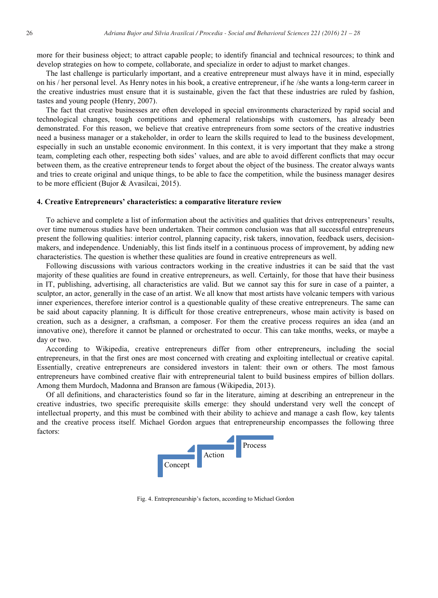more for their business object; to attract capable people; to identify financial and technical resources; to think and develop strategies on how to compete, collaborate, and specialize in order to adjust to market changes.

The last challenge is particularly important, and a creative entrepreneur must always have it in mind, especially on his / her personal level. As Henry notes in his book, a creative entrepreneur, if he /she wants a long-term career in the creative industries must ensure that it is sustainable, given the fact that these industries are ruled by fashion, tastes and young people (Henry, 2007).

The fact that creative businesses are often developed in special environments characterized by rapid social and technological changes, tough competitions and ephemeral relationships with customers, has already been demonstrated. For this reason, we believe that creative entrepreneurs from some sectors of the creative industries need a business manager or a stakeholder, in order to learn the skills required to lead to the business development, especially in such an unstable economic environment. In this context, it is very important that they make a strong team, completing each other, respecting both sides' values, and are able to avoid different conflicts that may occur between them, as the creative entrepreneur tends to forget about the object of the business. The creator always wants and tries to create original and unique things, to be able to face the competition, while the business manager desires to be more efficient (Bujor & Avasilcai, 2015).

#### **4. Creative Entrepreneurs' characteristics: a comparative literature review**

To achieve and complete a list of information about the activities and qualities that drives entrepreneurs' results, over time numerous studies have been undertaken. Their common conclusion was that all successful entrepreneurs present the following qualities: interior control, planning capacity, risk takers, innovation, feedback users, decisionmakers, and independence. Undeniably, this list finds itself in a continuous process of improvement, by adding new characteristics. The question is whether these qualities are found in creative entrepreneurs as well.

Following discussions with various contractors working in the creative industries it can be said that the vast majority of these qualities are found in creative entrepreneurs, as well. Certainly, for those that have their business in IT, publishing, advertising, all characteristics are valid. But we cannot say this for sure in case of a painter, a sculptor, an actor, generally in the case of an artist. We all know that most artists have volcanic tempers with various inner experiences, therefore interior control is a questionable quality of these creative entrepreneurs. The same can be said about capacity planning. It is difficult for those creative entrepreneurs, whose main activity is based on creation, such as a designer, a craftsman, a composer. For them the creative process requires an idea (and an innovative one), therefore it cannot be planned or orchestrated to occur. This can take months, weeks, or maybe a day or two.

According to Wikipedia, creative entrepreneurs differ from other entrepreneurs, including the social entrepreneurs, in that the first ones are most concerned with creating and exploiting intellectual or creative capital. Essentially, creative entrepreneurs are considered investors in talent: their own or others. The most famous entrepreneurs have combined creative flair with entrepreneurial talent to build business empires of billion dollars. Among them Murdoch, Madonna and Branson are famous (Wikipedia, 2013).

Of all definitions, and characteristics found so far in the literature, aiming at describing an entrepreneur in the creative industries, two specific prerequisite skills emerge: they should understand very well the concept of intellectual property, and this must be combined with their ability to achieve and manage a cash flow, key talents and the creative process itself. Michael Gordon argues that entrepreneurship encompasses the following three factors:



Fig. 4. Entrepreneurship's factors, according to Michael Gordon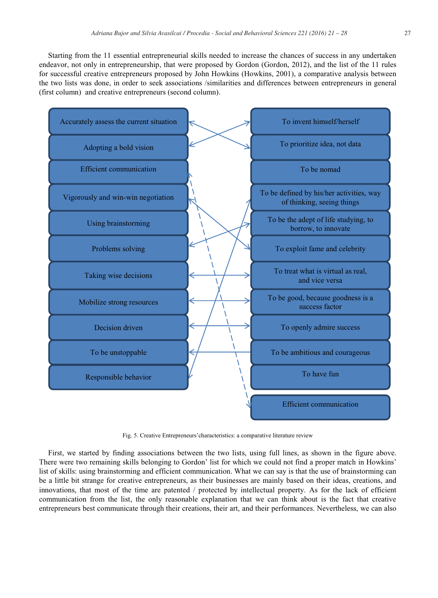Starting from the 11 essential entrepreneurial skills needed to increase the chances of success in any undertaken endeavor, not only in entrepreneurship, that were proposed by Gordon (Gordon, 2012), and the list of the 11 rules for successful creative entrepreneurs proposed by John Howkins (Howkins, 2001), a comparative analysis between the two lists was done, in order to seek associations /similarities and differences between entrepreneurs in general (first column) and creative entrepreneurs (second column).



Fig. 5. Creative Entrepreneurs'characteristics: a comparative literature review

First, we started by finding associations between the two lists, using full lines, as shown in the figure above. There were two remaining skills belonging to Gordon' list for which we could not find a proper match in Howkins' list of skills: using brainstorming and efficient communication. What we can say is that the use of brainstorming can be a little bit strange for creative entrepreneurs, as their businesses are mainly based on their ideas, creations, and innovations, that most of the time are patented / protected by intellectual property. As for the lack of efficient communication from the list, the only reasonable explanation that we can think about is the fact that creative entrepreneurs best communicate through their creations, their art, and their performances. Nevertheless, we can also